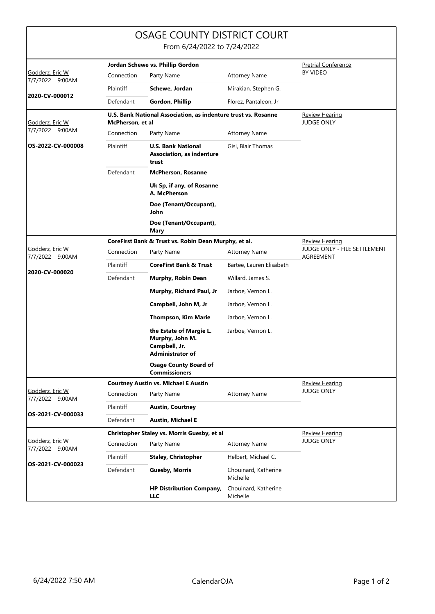|                                                      |                                                                                    | OSAGE COUNTY DISTRICT COURT<br>From 6/24/2022 to 7/24/2022                             |                                  |                                            |
|------------------------------------------------------|------------------------------------------------------------------------------------|----------------------------------------------------------------------------------------|----------------------------------|--------------------------------------------|
|                                                      | Jordan Schewe vs. Phillip Gordon                                                   |                                                                                        |                                  | <b>Pretrial Conference</b>                 |
| Godderz, Eric W<br>7/7/2022 9:00AM<br>2020-CV-000012 | Connection                                                                         | Party Name                                                                             | <b>Attorney Name</b>             | <b>BY VIDEO</b>                            |
|                                                      | Plaintiff                                                                          | Schewe, Jordan                                                                         | Mirakian, Stephen G.             |                                            |
|                                                      | Defendant                                                                          | Gordon, Phillip                                                                        | Florez, Pantaleon, Jr            |                                            |
| Godderz, Eric W<br>7/7/2022 9:00AM                   | U.S. Bank National Association, as indenture trust vs. Rosanne<br>McPherson, et al |                                                                                        |                                  | <b>Review Hearing</b><br><b>JUDGE ONLY</b> |
|                                                      | Connection                                                                         | Party Name                                                                             | <b>Attorney Name</b>             |                                            |
| OS-2022-CV-000008                                    | Plaintiff                                                                          | <b>U.S. Bank National</b><br><b>Association, as indenture</b><br>trust                 | Gisi, Blair Thomas               |                                            |
|                                                      | Defendant                                                                          | <b>McPherson, Rosanne</b>                                                              |                                  |                                            |
|                                                      |                                                                                    | Uk Sp, if any, of Rosanne<br>A. McPherson                                              |                                  |                                            |
|                                                      |                                                                                    | Doe (Tenant/Occupant),<br>John                                                         |                                  |                                            |
|                                                      |                                                                                    | Doe (Tenant/Occupant),<br>Mary                                                         |                                  |                                            |
| Godderz, Eric W<br>7/7/2022 9:00AM<br>2020-CV-000020 |                                                                                    | CoreFirst Bank & Trust vs. Robin Dean Murphy, et al.                                   |                                  | <b>Review Hearing</b>                      |
|                                                      | Connection                                                                         | Party Name                                                                             | <b>Attorney Name</b>             | JUDGE ONLY - FILE SETTLEMENT<br>AGREEMENT  |
|                                                      | Plaintiff                                                                          | <b>CoreFirst Bank &amp; Trust</b>                                                      | Bartee, Lauren Elisabeth         |                                            |
|                                                      | Defendant                                                                          | Murphy, Robin Dean                                                                     | Willard, James S.                |                                            |
|                                                      |                                                                                    | Murphy, Richard Paul, Jr                                                               | Jarboe, Vernon L.                |                                            |
|                                                      |                                                                                    | Campbell, John M, Jr                                                                   | Jarboe, Vernon L.                |                                            |
|                                                      |                                                                                    | <b>Thompson, Kim Marie</b>                                                             | Jarboe, Vernon L.                |                                            |
|                                                      |                                                                                    | the Estate of Margie L.<br>Murphy, John M.<br>Campbell, Jr.<br><b>Administrator of</b> | Jarboe, Vernon L.                |                                            |
|                                                      |                                                                                    | <b>Osage County Board of</b><br><b>Commissioners</b>                                   |                                  |                                            |
| Godderz, Eric W<br>7/7/2022 9:00AM                   | <b>Courtney Austin vs. Michael E Austin</b>                                        |                                                                                        |                                  | <b>Review Hearing</b>                      |
|                                                      | Connection                                                                         | Party Name                                                                             | <b>Attorney Name</b>             | <b>JUDGE ONLY</b>                          |
| OS-2021-CV-000033                                    | Plaintiff                                                                          | <b>Austin, Courtney</b>                                                                |                                  |                                            |
|                                                      | Defendant                                                                          | <b>Austin, Michael E</b>                                                               |                                  |                                            |
| Godderz, Eric W<br>7/7/2022 9:00AM                   | Christopher Staley vs. Morris Guesby, et al                                        |                                                                                        |                                  | <b>Review Hearing</b>                      |
|                                                      | Connection                                                                         | Party Name                                                                             | <b>Attorney Name</b>             | <b>JUDGE ONLY</b>                          |
| OS-2021-CV-000023                                    | Plaintiff                                                                          | <b>Staley, Christopher</b>                                                             | Helbert, Michael C.              |                                            |
|                                                      | Defendant                                                                          | <b>Guesby, Morris</b>                                                                  | Chouinard, Katherine<br>Michelle |                                            |
|                                                      |                                                                                    | <b>HP Distribution Company,</b><br><b>LLC</b>                                          | Chouinard, Katherine<br>Michelle |                                            |